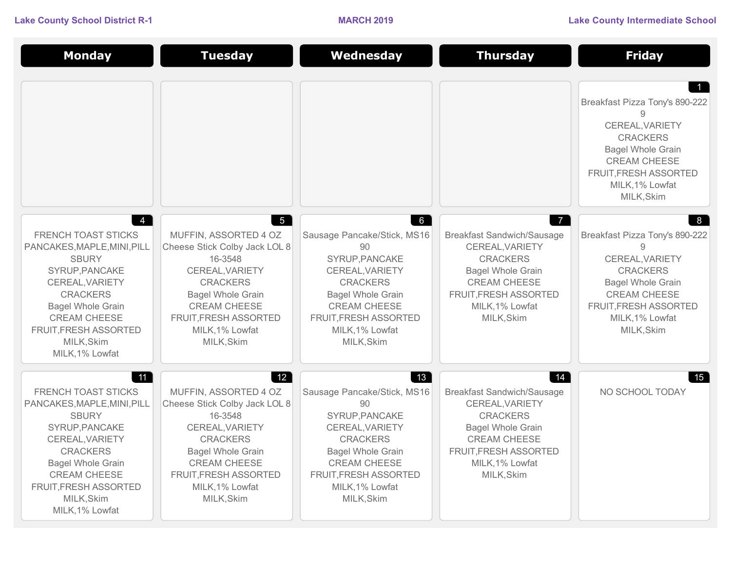| <b>Monday</b>                                                                                                                                                                                                                                                    | <b>Tuesday</b>                                                                                                                                                                                                                      | Wednesday                                                                                                                                                                                                                                    | <b>Thursday</b>                                                                                                                                                                                        | <b>Friday</b>                                                                                                                                                                               |
|------------------------------------------------------------------------------------------------------------------------------------------------------------------------------------------------------------------------------------------------------------------|-------------------------------------------------------------------------------------------------------------------------------------------------------------------------------------------------------------------------------------|----------------------------------------------------------------------------------------------------------------------------------------------------------------------------------------------------------------------------------------------|--------------------------------------------------------------------------------------------------------------------------------------------------------------------------------------------------------|---------------------------------------------------------------------------------------------------------------------------------------------------------------------------------------------|
|                                                                                                                                                                                                                                                                  |                                                                                                                                                                                                                                     |                                                                                                                                                                                                                                              |                                                                                                                                                                                                        | Breakfast Pizza Tony's 890-222<br>CEREAL, VARIETY<br><b>CRACKERS</b><br><b>Bagel Whole Grain</b><br><b>CREAM CHEESE</b><br>FRUIT, FRESH ASSORTED<br>MILK, 1% Lowfat<br>MILK, Skim           |
| $\overline{4}$<br><b>FRENCH TOAST STICKS</b><br>PANCAKES, MAPLE, MINI, PILL<br><b>SBURY</b><br>SYRUP, PANCAKE<br>CEREAL, VARIETY<br><b>CRACKERS</b><br><b>Bagel Whole Grain</b><br><b>CREAM CHEESE</b><br>FRUIT, FRESH ASSORTED<br>MILK, Skim<br>MILK, 1% Lowfat | $5^{\circ}$<br>MUFFIN, ASSORTED 4 OZ<br>Cheese Stick Colby Jack LOL 8<br>16-3548<br>CEREAL, VARIETY<br><b>CRACKERS</b><br><b>Bagel Whole Grain</b><br><b>CREAM CHEESE</b><br>FRUIT, FRESH ASSORTED<br>MILK, 1% Lowfat<br>MILK, Skim | $6\degree$<br>Sausage Pancake/Stick, MS16<br>90<br>SYRUP, PANCAKE<br>CEREAL, VARIETY<br><b>CRACKERS</b><br><b>Bagel Whole Grain</b><br><b>CREAM CHEESE</b><br>FRUIT, FRESH ASSORTED<br>MILK, 1% Lowfat<br>MILK, Skim                         | $\overline{7}$<br><b>Breakfast Sandwich/Sausage</b><br>CEREAL, VARIETY<br><b>CRACKERS</b><br><b>Bagel Whole Grain</b><br><b>CREAM CHEESE</b><br>FRUIT, FRESH ASSORTED<br>MILK, 1% Lowfat<br>MILK, Skim | 8<br>Breakfast Pizza Tony's 890-222<br>9<br>CEREAL, VARIETY<br><b>CRACKERS</b><br><b>Bagel Whole Grain</b><br><b>CREAM CHEESE</b><br>FRUIT, FRESH ASSORTED<br>MILK, 1% Lowfat<br>MILK, Skim |
| 11<br>FRENCH TOAST STICKS<br>PANCAKES, MAPLE, MINI, PILL<br><b>SBURY</b><br>SYRUP, PANCAKE<br>CEREAL, VARIETY<br><b>CRACKERS</b><br><b>Bagel Whole Grain</b><br><b>CREAM CHEESE</b><br>FRUIT, FRESH ASSORTED<br>MILK, Skim<br>MILK, 1% Lowfat                    | 12<br>MUFFIN, ASSORTED 4 OZ<br>Cheese Stick Colby Jack LOL 8<br>16-3548<br>CEREAL, VARIETY<br><b>CRACKERS</b><br><b>Bagel Whole Grain</b><br><b>CREAM CHEESE</b><br>FRUIT, FRESH ASSORTED<br>MILK, 1% Lowfat<br>MILK, Skim          | $\begin{bmatrix} 13 \end{bmatrix}$<br>Sausage Pancake/Stick, MS16<br>90<br>SYRUP, PANCAKE<br>CEREAL, VARIETY<br><b>CRACKERS</b><br><b>Bagel Whole Grain</b><br><b>CREAM CHEESE</b><br>FRUIT, FRESH ASSORTED<br>MILK, 1% Lowfat<br>MILK, Skim | 14<br><b>Breakfast Sandwich/Sausage</b><br>CEREAL, VARIETY<br><b>CRACKERS</b><br><b>Bagel Whole Grain</b><br><b>CREAM CHEESE</b><br><b>FRUIT, FRESH ASSORTED</b><br>MILK, 1% Lowfat<br>MILK, Skim      | 15  <br>NO SCHOOL TODAY                                                                                                                                                                     |